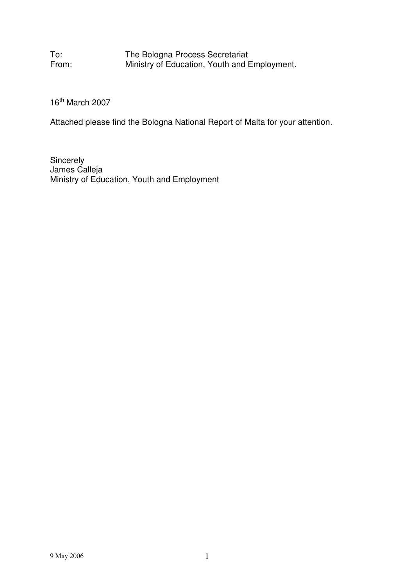To: The Bologna Process Secretariat<br>From: Ministry of Education, Youth and E Ministry of Education, Youth and Employment.

16<sup>th</sup> March 2007

Attached please find the Bologna National Report of Malta for your attention.

**Sincerely** James Calleja Ministry of Education, Youth and Employment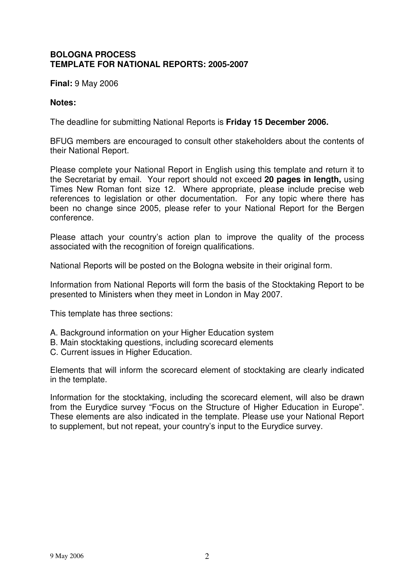### **BOLOGNA PROCESS TEMPLATE FOR NATIONAL REPORTS: 2005-2007**

**Final:** 9 May 2006

### **Notes:**

The deadline for submitting National Reports is **Friday 15 December 2006.**

BFUG members are encouraged to consult other stakeholders about the contents of their National Report.

Please complete your National Report in English using this template and return it to the Secretariat by email. Your report should not exceed **20 pages in length,** using Times New Roman font size 12. Where appropriate, please include precise web references to legislation or other documentation. For any topic where there has been no change since 2005, please refer to your National Report for the Bergen conference.

Please attach your country's action plan to improve the quality of the process associated with the recognition of foreign qualifications.

National Reports will be posted on the Bologna website in their original form.

Information from National Reports will form the basis of the Stocktaking Report to be presented to Ministers when they meet in London in May 2007.

This template has three sections:

- A. Background information on your Higher Education system
- B. Main stocktaking questions, including scorecard elements
- C. Current issues in Higher Education.

Elements that will inform the scorecard element of stocktaking are clearly indicated in the template.

Information for the stocktaking, including the scorecard element, will also be drawn from the Eurydice survey "Focus on the Structure of Higher Education in Europe". These elements are also indicated in the template. Please use your National Report to supplement, but not repeat, your country's input to the Eurydice survey.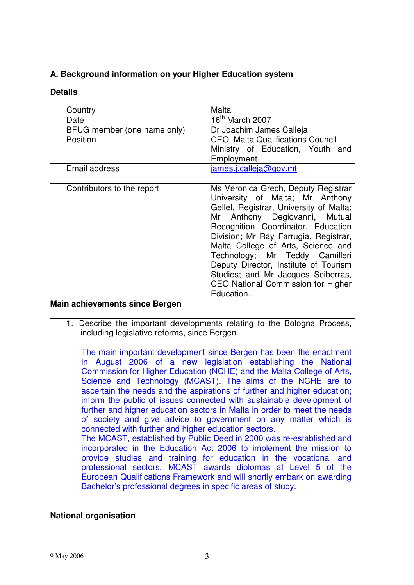# **A. Background information on your Higher Education system**

### **Details**

| Country                                                      | Malta                                                                                                                                                                                                                                                                                                                                                                                                                                        |
|--------------------------------------------------------------|----------------------------------------------------------------------------------------------------------------------------------------------------------------------------------------------------------------------------------------------------------------------------------------------------------------------------------------------------------------------------------------------------------------------------------------------|
| Date                                                         | $16^{\text{th}}$ March 2007                                                                                                                                                                                                                                                                                                                                                                                                                  |
| BFUG member (one name only)<br>Position                      | Dr Joachim James Calleja<br><b>CEO, Malta Qualifications Council</b>                                                                                                                                                                                                                                                                                                                                                                         |
|                                                              | Ministry of Education, Youth and<br>Employment                                                                                                                                                                                                                                                                                                                                                                                               |
| Email address                                                | james.j.calleja@gov.mt                                                                                                                                                                                                                                                                                                                                                                                                                       |
| Contributors to the report<br>Main achievemente cinos Rergen | Ms Veronica Grech, Deputy Registrar<br>University of Malta; Mr Anthony<br>Gellel, Registrar, University of Malta;<br>Mr Anthony Degiovanni, Mutual<br>Recognition Coordinator, Education<br>Division; Mr Ray Farrugia, Registrar,<br>Malta College of Arts, Science and<br>Technology; Mr Teddy Camilleri<br>Deputy Director, Institute of Tourism<br>Studies; and Mr Jacques Sciberras,<br>CEO National Commission for Higher<br>Education. |

# **Main achievements since Bergen**

- 1. Describe the important developments relating to the Bologna Process, including legislative reforms, since Bergen.
- The main important development since Bergen has been the enactment in August 2006 of a new legislation establishing the National Commission for Higher Education (NCHE) and the Malta College of Arts, Science and Technology (MCAST). The aims of the NCHE are to ascertain the needs and the aspirations of further and higher education; inform the public of issues connected with sustainable development of further and higher education sectors in Malta in order to meet the needs of society and give advice to government on any matter which is connected with further and higher education sectors. The MCAST, established by Public Deed in 2000 was re-established and incorporated in the Education Act 2006 to implement the mission to provide studies and training for education in the vocational and professional sectors. MCAST awards diplomas at Level 5 of the European Qualifications Framework and will shortly embark on awarding Bachelor's professional degrees in specific areas of study.

# **National organisation**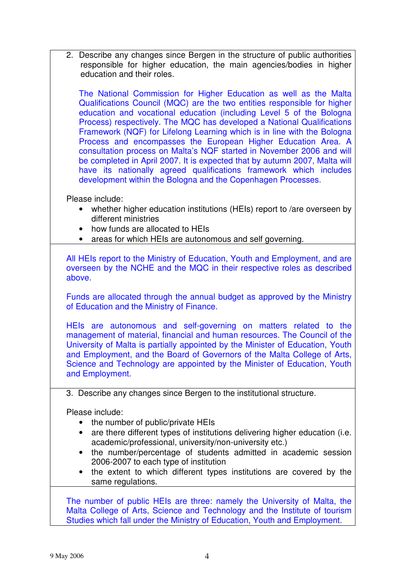2. Describe any changes since Bergen in the structure of public authorities responsible for higher education, the main agencies/bodies in higher education and their roles.

The National Commission for Higher Education as well as the Malta Qualifications Council (MQC) are the two entities responsible for higher education and vocational education (including Level 5 of the Bologna Process) respectively. The MQC has developed a National Qualifications Framework (NQF) for Lifelong Learning which is in line with the Bologna Process and encompasses the European Higher Education Area. A consultation process on Malta's NQF started in November 2006 and will be completed in April 2007. It is expected that by autumn 2007, Malta will have its nationally agreed qualifications framework which includes development within the Bologna and the Copenhagen Processes.

Please include:

- whether higher education institutions (HEIs) report to /are overseen by different ministries
- how funds are allocated to HEIs
- areas for which HEIs are autonomous and self governing.

All HEIs report to the Ministry of Education, Youth and Employment, and are overseen by the NCHE and the MQC in their respective roles as described above.

Funds are allocated through the annual budget as approved by the Ministry of Education and the Ministry of Finance.

HEIs are autonomous and self-governing on matters related to the management of material, financial and human resources. The Council of the University of Malta is partially appointed by the Minister of Education, Youth and Employment, and the Board of Governors of the Malta College of Arts, Science and Technology are appointed by the Minister of Education, Youth and Employment.

3. Describe any changes since Bergen to the institutional structure.

Please include:

- the number of public/private HEIs
- are there different types of institutions delivering higher education (i.e. academic/professional, university/non-university etc.)
- the number/percentage of students admitted in academic session 2006-2007 to each type of institution
- the extent to which different types institutions are covered by the same regulations.

The number of public HEIs are three: namely the University of Malta, the Malta College of Arts, Science and Technology and the Institute of tourism Studies which fall under the Ministry of Education, Youth and Employment.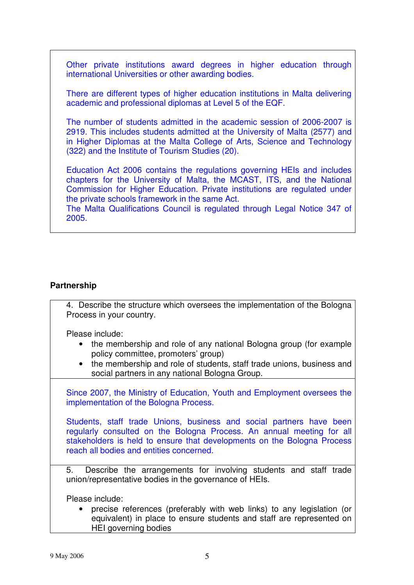Other private institutions award degrees in higher education through international Universities or other awarding bodies.

There are different types of higher education institutions in Malta delivering academic and professional diplomas at Level 5 of the EQF.

The number of students admitted in the academic session of 2006-2007 is 2919. This includes students admitted at the University of Malta (2577) and in Higher Diplomas at the Malta College of Arts, Science and Technology (322) and the Institute of Tourism Studies (20).

Education Act 2006 contains the regulations governing HEIs and includes chapters for the University of Malta, the MCAST, ITS, and the National Commission for Higher Education. Private institutions are regulated under the private schools framework in the same Act.

The Malta Qualifications Council is regulated through Legal Notice 347 of 2005.

### **Partnership**

4. Describe the structure which oversees the implementation of the Bologna Process in your country.

Please include:

- the membership and role of any national Bologna group (for example policy committee, promoters' group)
- the membership and role of students, staff trade unions, business and social partners in any national Bologna Group.

Since 2007, the Ministry of Education, Youth and Employment oversees the implementation of the Bologna Process.

Students, staff trade Unions, business and social partners have been regularly consulted on the Bologna Process. An annual meeting for all stakeholders is held to ensure that developments on the Bologna Process reach all bodies and entities concerned.

5. Describe the arrangements for involving students and staff trade union/representative bodies in the governance of HEIs.

Please include:

• precise references (preferably with web links) to any legislation (or equivalent) in place to ensure students and staff are represented on HEI governing bodies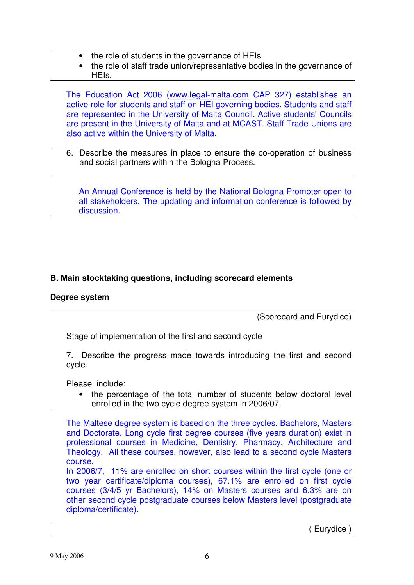- the role of students in the governance of HEIs
- the role of staff trade union/representative bodies in the governance of HEIs.

The Education Act 2006 (www.legal-malta.com CAP 327) establishes an active role for students and staff on HEI governing bodies. Students and staff are represented in the University of Malta Council. Active students' Councils are present in the University of Malta and at MCAST. Staff Trade Unions are also active within the University of Malta.

6. Describe the measures in place to ensure the co-operation of business and social partners within the Bologna Process.

An Annual Conference is held by the National Bologna Promoter open to all stakeholders. The updating and information conference is followed by discussion.

# **B. Main stocktaking questions, including scorecard elements**

# **Degree system**

(Scorecard and Eurydice)

Stage of implementation of the first and second cycle

7. Describe the progress made towards introducing the first and second cycle.

Please include:

• the percentage of the total number of students below doctoral level enrolled in the two cycle degree system in 2006/07.

The Maltese degree system is based on the three cycles, Bachelors, Masters and Doctorate. Long cycle first degree courses (five years duration) exist in professional courses in Medicine, Dentistry, Pharmacy, Architecture and Theology. All these courses, however, also lead to a second cycle Masters course.

In 2006/7, 11% are enrolled on short courses within the first cycle (one or two year certificate/diploma courses), 67.1% are enrolled on first cycle courses (3/4/5 yr Bachelors), 14% on Masters courses and 6.3% are on other second cycle postgraduate courses below Masters level (postgraduate diploma/certificate).

Eurydice )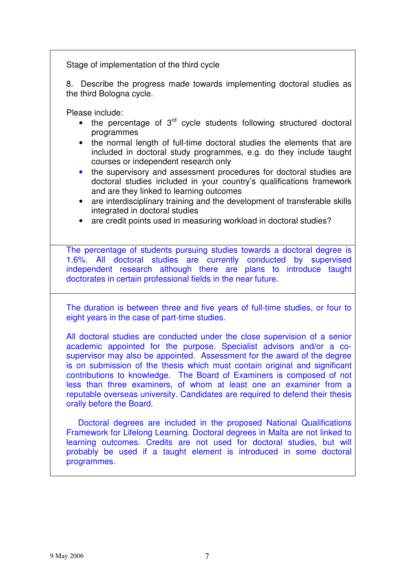Stage of implementation of the third cycle

8. Describe the progress made towards implementing doctoral studies as the third Bologna cycle.

Please include:

- $\bullet$  the percentage of  $3^{\text{rd}}$  cycle students following structured doctoral programmes
- the normal length of full-time doctoral studies the elements that are included in doctoral study programmes, e.g. do they include taught courses or independent research only
- the supervisory and assessment procedures for doctoral studies are doctoral studies included in your country's qualifications framework and are they linked to learning outcomes
- are interdisciplinary training and the development of transferable skills integrated in doctoral studies
- are credit points used in measuring workload in doctoral studies?

The percentage of students pursuing studies towards a doctoral degree is 1.6%. All doctoral studies are currently conducted by supervised independent research although there are plans to introduce taught doctorates in certain professional fields in the near future.

The duration is between three and five years of full-time studies, or four to eight years in the case of part-time studies.

All doctoral studies are conducted under the close supervision of a senior academic appointed for the purpose. Specialist advisors and/or a cosupervisor may also be appointed. Assessment for the award of the degree is on submission of the thesis which must contain original and significant contributions to knowledge. The Board of Examiners is composed of not less than three examiners, of whom at least one an examiner from a reputable overseas university. Candidates are required to defend their thesis orally before the Board.

Doctoral degrees are included in the proposed National Qualifications Framework for Lifelong Learning. Doctoral degrees in Malta are not linked to learning outcomes. Credits are not used for doctoral studies, but will probably be used if a taught element is introduced in some doctoral programmes.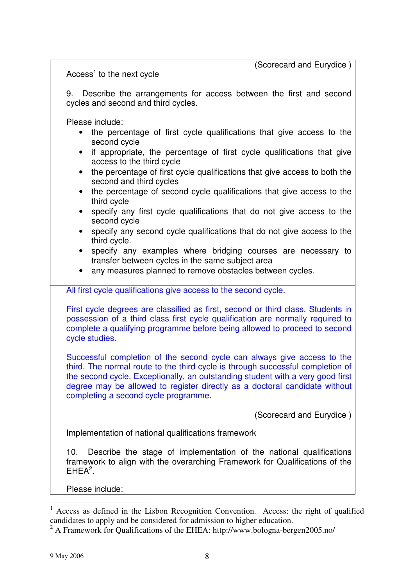(Scorecard and Eurydice )

Access<sup>1</sup> to the next cycle

9. Describe the arrangements for access between the first and second cycles and second and third cycles.

Please include:

- the percentage of first cycle qualifications that give access to the second cycle
- if appropriate, the percentage of first cycle qualifications that give access to the third cycle
- the percentage of first cycle qualifications that give access to both the second and third cycles
- the percentage of second cycle qualifications that give access to the third cycle
- specify any first cycle qualifications that do not give access to the second cycle
- specify any second cycle qualifications that do not give access to the third cycle.
- specify any examples where bridging courses are necessary to transfer between cycles in the same subject area
- any measures planned to remove obstacles between cycles.

All first cycle qualifications give access to the second cycle.

First cycle degrees are classified as first, second or third class. Students in possession of a third class first cycle qualification are normally required to complete a qualifying programme before being allowed to proceed to second cycle studies.

Successful completion of the second cycle can always give access to the third. The normal route to the third cycle is through successful completion of the second cycle. Exceptionally, an outstanding student with a very good first degree may be allowed to register directly as a doctoral candidate without completing a second cycle programme.

(Scorecard and Eurydice )

Implementation of national qualifications framework

10. Describe the stage of implementation of the national qualifications framework to align with the overarching Framework for Qualifications of the  $EHEA<sup>2</sup>$ .

 $<sup>1</sup>$  Access as defined in the Lisbon Recognition Convention. Access: the right of qualified</sup> candidates to apply and be considered for admission to higher education.

<sup>&</sup>lt;sup>2</sup> A Framework for Qualifications of the EHEA: http://www.bologna-bergen2005.no/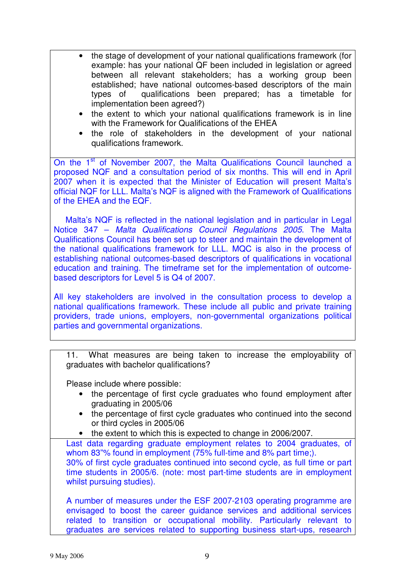- the stage of development of your national qualifications framework (for example: has your national QF been included in legislation or agreed between all relevant stakeholders; has a working group been established; have national outcomes-based descriptors of the main types of qualifications been prepared; has a timetable for implementation been agreed?)
- the extent to which your national qualifications framework is in line with the Framework for Qualifications of the EHEA
- the role of stakeholders in the development of your national qualifications framework.

On the 1<sup>st</sup> of November 2007, the Malta Qualifications Council launched a proposed NQF and a consultation period of six months. This will end in April 2007 when it is expected that the Minister of Education will present Malta's official NQF for LLL. Malta's NQF is aligned with the Framework of Qualifications of the EHEA and the EQF.

Malta's NQF is reflected in the national legislation and in particular in Legal Notice 347 – *Malta Qualifications Council Regulations 2005*. The Malta Qualifications Council has been set up to steer and maintain the development of the national qualifications framework for LLL. MQC is also in the process of establishing national outcomes-based descriptors of qualifications in vocational education and training. The timeframe set for the implementation of outcomebased descriptors for Level 5 is Q4 of 2007.

All key stakeholders are involved in the consultation process to develop a national qualifications framework. These include all public and private training providers, trade unions, employers, non-governmental organizations political parties and governmental organizations.

11. What measures are being taken to increase the employability of graduates with bachelor qualifications?

Please include where possible:

- the percentage of first cycle graduates who found employment after graduating in 2005/06
- the percentage of first cycle graduates who continued into the second or third cycles in 2005/06
- the extent to which this is expected to change in 2006/2007.

Last data regarding graduate employment relates to 2004 graduates, of whom 83"% found in employment (75% full-time and 8% part time;). 30% of first cycle graduates continued into second cycle, as full time or part time students in 2005/6. (note: most part-time students are in employment whilst pursuing studies).

A number of measures under the ESF 2007-2103 operating programme are envisaged to boost the career guidance services and additional services related to transition or occupational mobility. Particularly relevant to graduates are services related to supporting business start-ups, research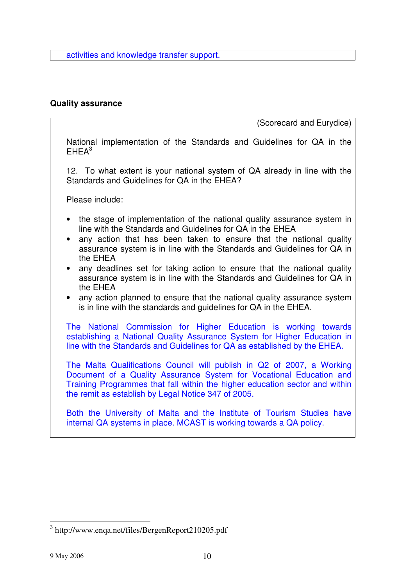activities and knowledge transfer support.

### **Quality assurance**

(Scorecard and Eurydice)

National implementation of the Standards and Guidelines for QA in the  $EHEA<sup>3</sup>$ 

12. To what extent is your national system of QA already in line with the Standards and Guidelines for QA in the EHEA?

Please include:

- the stage of implementation of the national quality assurance system in line with the Standards and Guidelines for QA in the EHEA
- any action that has been taken to ensure that the national quality assurance system is in line with the Standards and Guidelines for QA in the EHEA
- any deadlines set for taking action to ensure that the national quality assurance system is in line with the Standards and Guidelines for QA in the EHEA
- any action planned to ensure that the national quality assurance system is in line with the standards and guidelines for QA in the EHEA.

The National Commission for Higher Education is working towards establishing a National Quality Assurance System for Higher Education in line with the Standards and Guidelines for QA as established by the EHEA.

The Malta Qualifications Council will publish in Q2 of 2007, a Working Document of a Quality Assurance System for Vocational Education and Training Programmes that fall within the higher education sector and within the remit as establish by Legal Notice 347 of 2005.

Both the University of Malta and the Institute of Tourism Studies have internal QA systems in place. MCAST is working towards a QA policy.

<sup>&</sup>lt;sup>3</sup> http://www.enqa.net/files/BergenReport210205.pdf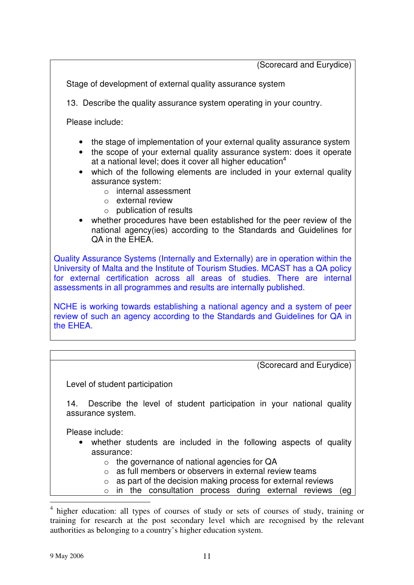(Scorecard and Eurydice)

Stage of development of external quality assurance system

13. Describe the quality assurance system operating in your country.

Please include:

- the stage of implementation of your external quality assurance system
- the scope of your external quality assurance system: does it operate at a national level; does it cover all higher education<sup>4</sup>
- which of the following elements are included in your external quality assurance system:
	- o internal assessment
	- o external review
	- $\circ$  publication of results
- whether procedures have been established for the peer review of the national agency(ies) according to the Standards and Guidelines for QA in the EHEA.

Quality Assurance Systems (Internally and Externally) are in operation within the University of Malta and the Institute of Tourism Studies. MCAST has a QA policy for external certification across all areas of studies. There are internal assessments in all programmes and results are internally published.

NCHE is working towards establishing a national agency and a system of peer review of such an agency according to the Standards and Guidelines for QA in the EHEA.

(Scorecard and Eurydice) Level of student participation 14. Describe the level of student participation in your national quality assurance system. Please include: • whether students are included in the following aspects of quality assurance:  $\circ$  the governance of national agencies for QA o as full members or observers in external review teams  $\circ$  as part of the decision making process for external reviews o in the consultation process during external reviews (eg

<sup>4</sup> higher education: all types of courses of study or sets of courses of study, training or training for research at the post secondary level which are recognised by the relevant authorities as belonging to a country's higher education system.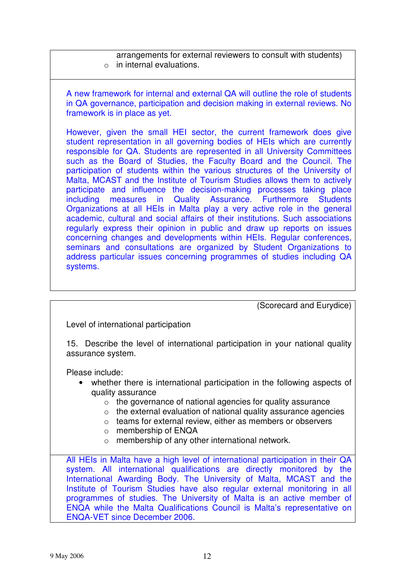arrangements for external reviewers to consult with students)  $\circ$  in internal evaluations.

A new framework for internal and external QA will outline the role of students in QA governance, participation and decision making in external reviews. No framework is in place as yet.

However, given the small HEI sector, the current framework does give student representation in all governing bodies of HEIs which are currently responsible for QA. Students are represented in all University Committees such as the Board of Studies, the Faculty Board and the Council. The participation of students within the various structures of the University of Malta, MCAST and the Institute of Tourism Studies allows them to actively participate and influence the decision-making processes taking place including measures in Quality Assurance. Furthermore Students Organizations at all HEIs in Malta play a very active role in the general academic, cultural and social affairs of their institutions. Such associations regularly express their opinion in public and draw up reports on issues concerning changes and developments within HEIs. Regular conferences, seminars and consultations are organized by Student Organizations to address particular issues concerning programmes of studies including QA systems.

(Scorecard and Eurydice)

Level of international participation

15. Describe the level of international participation in your national quality assurance system.

Please include:

- whether there is international participation in the following aspects of quality assurance
	- o the governance of national agencies for quality assurance
	- $\circ$  the external evaluation of national quality assurance agencies
	- o teams for external review, either as members or observers
	- o membership of ENQA
	- o membership of any other international network.

All HEIs in Malta have a high level of international participation in their QA system. All international qualifications are directly monitored by the International Awarding Body. The University of Malta, MCAST and the Institute of Tourism Studies have also regular external monitoring in all programmes of studies. The University of Malta is an active member of ENQA while the Malta Qualifications Council is Malta's representative on ENQA-VET since December 2006.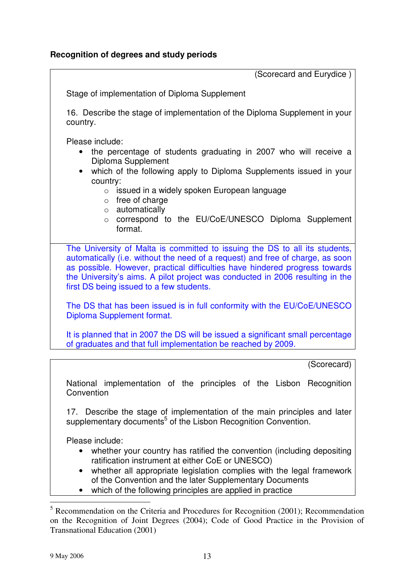(Scorecard and Eurydice )

Stage of implementation of Diploma Supplement

16. Describe the stage of implementation of the Diploma Supplement in your country.

Please include:

- the percentage of students graduating in 2007 who will receive a Diploma Supplement
- which of the following apply to Diploma Supplements issued in your country:
	- $\circ$  issued in a widely spoken European language
	- $\circ$  free of charge
	- o automatically
	- o correspond to the EU/CoE/UNESCO Diploma Supplement format.

The University of Malta is committed to issuing the DS to all its students, automatically (i.e. without the need of a request) and free of charge, as soon as possible. However, practical difficulties have hindered progress towards the University's aims. A pilot project was conducted in 2006 resulting in the first DS being issued to a few students.

The DS that has been issued is in full conformity with the EU/CoE/UNESCO Diploma Supplement format.

It is planned that in 2007 the DS will be issued a significant small percentage of graduates and that full implementation be reached by 2009.

(Scorecard)

National implementation of the principles of the Lisbon Recognition **Convention** 

17. Describe the stage of implementation of the main principles and later supplementary documents<sup>5</sup> of the Lisbon Recognition Convention.

- whether your country has ratified the convention (including depositing ratification instrument at either CoE or UNESCO)
- whether all appropriate legislation complies with the legal framework of the Convention and the later Supplementary Documents
- which of the following principles are applied in practice

 $<sup>5</sup>$  Recommendation on the Criteria and Procedures for Recognition (2001); Recommendation</sup> on the Recognition of Joint Degrees (2004); Code of Good Practice in the Provision of Transnational Education (2001)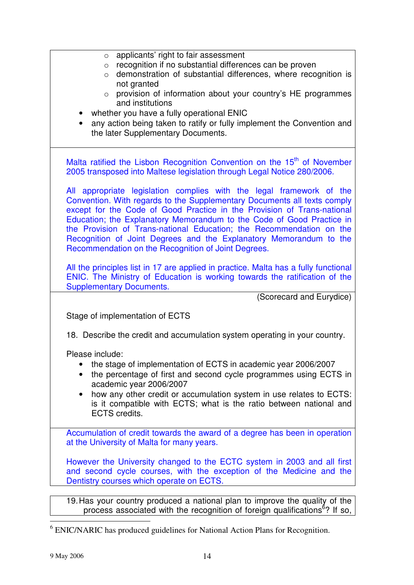| applicants' right to fair assessment<br>$\circ$                                                               |
|---------------------------------------------------------------------------------------------------------------|
| recognition if no substantial differences can be proven<br>$\circ$                                            |
| demonstration of substantial differences, where recognition is<br>$\circ$                                     |
| not granted                                                                                                   |
| provision of information about your country's HE programmes<br>$\circ$                                        |
| and institutions                                                                                              |
| whether you have a fully operational ENIC                                                                     |
| any action being taken to ratify or fully implement the Convention and                                        |
| the later Supplementary Documents.                                                                            |
|                                                                                                               |
| Malta ratified the Lisbon Recognition Convention on the 15 <sup>th</sup> of November                          |
| 2005 transposed into Maltese legislation through Legal Notice 280/2006.                                       |
|                                                                                                               |
| All appropriate legislation complies with the legal framework of the                                          |
| Convention. With regards to the Supplementary Documents all texts comply                                      |
| except for the Code of Good Practice in the Provision of Trans-national                                       |
| Education; the Explanatory Memorandum to the Code of Good Practice in                                         |
| the Provision of Trans-national Education; the Recommendation on the                                          |
| Recognition of Joint Degrees and the Explanatory Memorandum to the                                            |
| Recommendation on the Recognition of Joint Degrees.                                                           |
|                                                                                                               |
| All the principles list in 17 are applied in practice. Malta has a fully functional                           |
| ENIC. The Ministry of Education is working towards the ratification of the<br><b>Supplementary Documents.</b> |
| (Scorecard and Eurydice)                                                                                      |
|                                                                                                               |
| Stage of implementation of ECTS                                                                               |
|                                                                                                               |
| 18. Describe the credit and accumulation system operating in your country.                                    |
|                                                                                                               |
| Please include:                                                                                               |
| the stage of implementation of ECTS in academic year 2006/2007                                                |
| the percentage of first and second cycle programmes using ECTS in                                             |
| academic year 2006/2007                                                                                       |
| how any other credit or accumulation system in use relates to ECTS:                                           |
| is it compatible with ECTS; what is the ratio between national and<br><b>ECTS</b> credits.                    |
|                                                                                                               |
| Accumulation of credit towards the award of a degree has been in operation                                    |
| at the University of Malta for many years.                                                                    |
|                                                                                                               |
| However the University changed to the ECTC system in 2003 and all first                                       |
| and second cycle courses, with the exception of the Medicine and the                                          |
| Dentistry courses which operate on ECTS.                                                                      |
|                                                                                                               |
| 19. Has your country produced a national plan to improve the quality of the                                   |
| process associated with the recognition of foreign qualifications <sup>6</sup> ? If so,                       |
|                                                                                                               |

<sup>&</sup>lt;sup>6</sup> ENIC/NARIC has produced guidelines for National Action Plans for Recognition.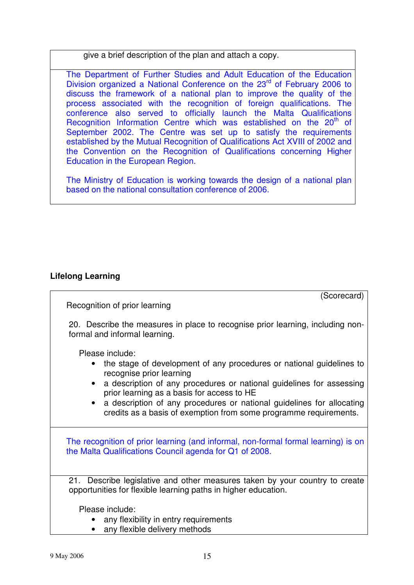give a brief description of the plan and attach a copy.

The Department of Further Studies and Adult Education of the Education Division organized a National Conference on the 23<sup>rd</sup> of February 2006 to discuss the framework of a national plan to improve the quality of the process associated with the recognition of foreign qualifications. The conference also served to officially launch the Malta Qualifications Recognition Information Centre which was established on the 20<sup>th</sup> of September 2002. The Centre was set up to satisfy the requirements established by the Mutual Recognition of Qualifications Act XVIII of 2002 and the Convention on the Recognition of Qualifications concerning Higher Education in the European Region.

The Ministry of Education is working towards the design of a national plan based on the national consultation conference of 2006.

# **Lifelong Learning**

(Scorecard)

Recognition of prior learning

20. Describe the measures in place to recognise prior learning, including nonformal and informal learning.

Please include:

- the stage of development of any procedures or national guidelines to recognise prior learning
- a description of any procedures or national quidelines for assessing prior learning as a basis for access to HE
- a description of any procedures or national quidelines for allocating credits as a basis of exemption from some programme requirements.

The recognition of prior learning (and informal, non-formal formal learning) is on the Malta Qualifications Council agenda for Q1 of 2008.

21. Describe legislative and other measures taken by your country to create opportunities for flexible learning paths in higher education.

- any flexibility in entry requirements
- any flexible delivery methods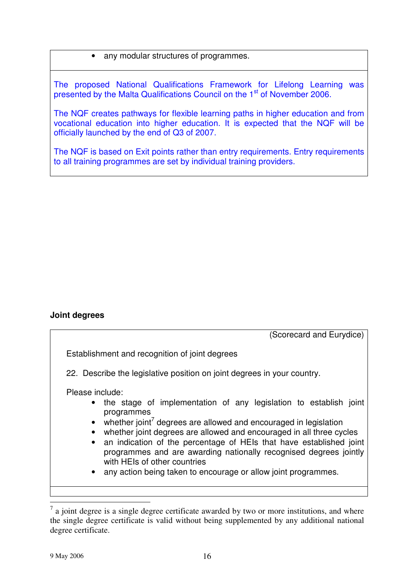### • any modular structures of programmes.

The proposed National Qualifications Framework for Lifelong Learning was presented by the Malta Qualifications Council on the 1<sup>st</sup> of November 2006.

The NQF creates pathways for flexible learning paths in higher education and from vocational education into higher education. It is expected that the NQF will be officially launched by the end of Q3 of 2007.

The NQF is based on Exit points rather than entry requirements. Entry requirements to all training programmes are set by individual training providers.

# **Joint degrees**

(Scorecard and Eurydice) Establishment and recognition of joint degrees 22. Describe the legislative position on joint degrees in your country. Please include: • the stage of implementation of any legislation to establish joint programmes  $\bullet$  whether joint<sup>7</sup> degrees are allowed and encouraged in legislation • whether joint degrees are allowed and encouraged in all three cycles • an indication of the percentage of HEIs that have established joint programmes and are awarding nationally recognised degrees jointly with HEIs of other countries any action being taken to encourage or allow joint programmes.

<sup>7</sup> a joint degree is a single degree certificate awarded by two or more institutions, and where the single degree certificate is valid without being supplemented by any additional national degree certificate.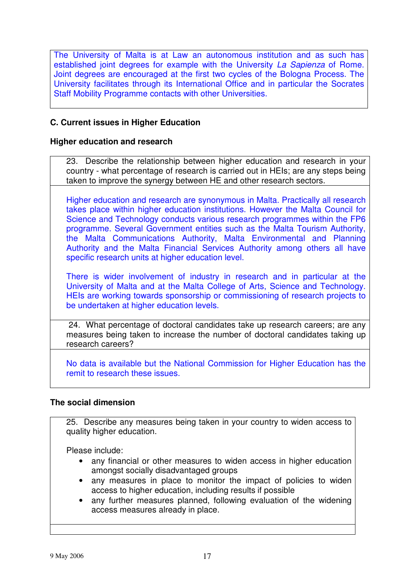The University of Malta is at Law an autonomous institution and as such has established joint degrees for example with the University *La Sapienza* of Rome. Joint degrees are encouraged at the first two cycles of the Bologna Process. The University facilitates through its International Office and in particular the Socrates Staff Mobility Programme contacts with other Universities.

# **C. Current issues in Higher Education**

### **Higher education and research**

23. Describe the relationship between higher education and research in your country - what percentage of research is carried out in HEIs; are any steps being taken to improve the synergy between HE and other research sectors.

Higher education and research are synonymous in Malta. Practically all research takes place within higher education institutions. However the Malta Council for Science and Technology conducts various research programmes within the FP6 programme. Several Government entities such as the Malta Tourism Authority, the Malta Communications Authority, Malta Environmental and Planning Authority and the Malta Financial Services Authority among others all have specific research units at higher education level.

There is wider involvement of industry in research and in particular at the University of Malta and at the Malta College of Arts, Science and Technology. HEIs are working towards sponsorship or commissioning of research projects to be undertaken at higher education levels.

24. What percentage of doctoral candidates take up research careers; are any measures being taken to increase the number of doctoral candidates taking up research careers?

No data is available but the National Commission for Higher Education has the remit to research these issues.

### **The social dimension**

25. Describe any measures being taken in your country to widen access to quality higher education.

- any financial or other measures to widen access in higher education amongst socially disadvantaged groups
- any measures in place to monitor the impact of policies to widen access to higher education, including results if possible
- any further measures planned, following evaluation of the widening access measures already in place.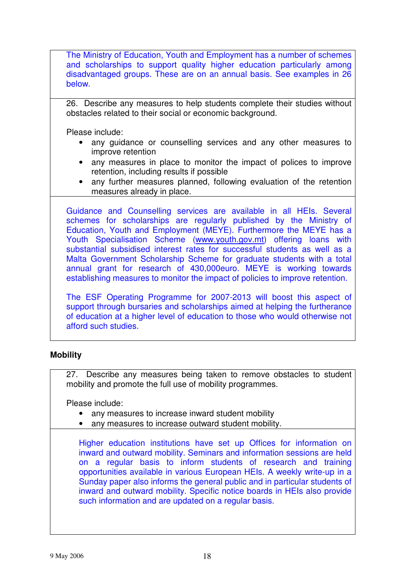The Ministry of Education, Youth and Employment has a number of schemes and scholarships to support quality higher education particularly among disadvantaged groups. These are on an annual basis. See examples in 26 below.

26. Describe any measures to help students complete their studies without obstacles related to their social or economic background.

Please include:

- any guidance or counselling services and any other measures to improve retention
- any measures in place to monitor the impact of polices to improve retention, including results if possible
- any further measures planned, following evaluation of the retention measures already in place.

Guidance and Counselling services are available in all HEIs. Several schemes for scholarships are regularly published by the Ministry of Education, Youth and Employment (MEYE). Furthermore the MEYE has a Youth Specialisation Scheme (www.youth.gov.mt) offering loans with substantial subsidised interest rates for successful students as well as a Malta Government Scholarship Scheme for graduate students with a total annual grant for research of 430,000euro. MEYE is working towards establishing measures to monitor the impact of policies to improve retention.

The ESF Operating Programme for 2007-2013 will boost this aspect of support through bursaries and scholarships aimed at helping the furtherance of education at a higher level of education to those who would otherwise not afford such studies.

# **Mobility**

27. Describe any measures being taken to remove obstacles to student mobility and promote the full use of mobility programmes.

Please include:

- any measures to increase inward student mobility
- any measures to increase outward student mobility.

Higher education institutions have set up Offices for information on inward and outward mobility. Seminars and information sessions are held on a regular basis to inform students of research and training opportunities available in various European HEIs. A weekly write-up in a Sunday paper also informs the general public and in particular students of inward and outward mobility. Specific notice boards in HEIs also provide such information and are updated on a regular basis.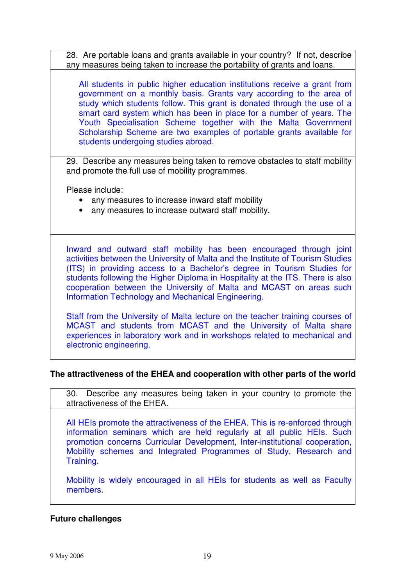28. Are portable loans and grants available in your country? If not, describe any measures being taken to increase the portability of grants and loans.

All students in public higher education institutions receive a grant from government on a monthly basis. Grants vary according to the area of study which students follow. This grant is donated through the use of a smart card system which has been in place for a number of years. The Youth Specialisation Scheme together with the Malta Government Scholarship Scheme are two examples of portable grants available for students undergoing studies abroad.

29. Describe any measures being taken to remove obstacles to staff mobility and promote the full use of mobility programmes.

Please include:

- any measures to increase inward staff mobility
- any measures to increase outward staff mobility.

Inward and outward staff mobility has been encouraged through joint activities between the University of Malta and the Institute of Tourism Studies (ITS) in providing access to a Bachelor's degree in Tourism Studies for students following the Higher Diploma in Hospitality at the ITS. There is also cooperation between the University of Malta and MCAST on areas such Information Technology and Mechanical Engineering.

Staff from the University of Malta lecture on the teacher training courses of MCAST and students from MCAST and the University of Malta share experiences in laboratory work and in workshops related to mechanical and electronic engineering.

### **The attractiveness of the EHEA and cooperation with other parts of the world**

30. Describe any measures being taken in your country to promote the attractiveness of the EHEA.

All HEIs promote the attractiveness of the EHEA. This is re-enforced through information seminars which are held regularly at all public HEIs. Such promotion concerns Curricular Development, Inter-institutional cooperation, Mobility schemes and Integrated Programmes of Study, Research and Training.

Mobility is widely encouraged in all HEIs for students as well as Faculty members.

### **Future challenges**